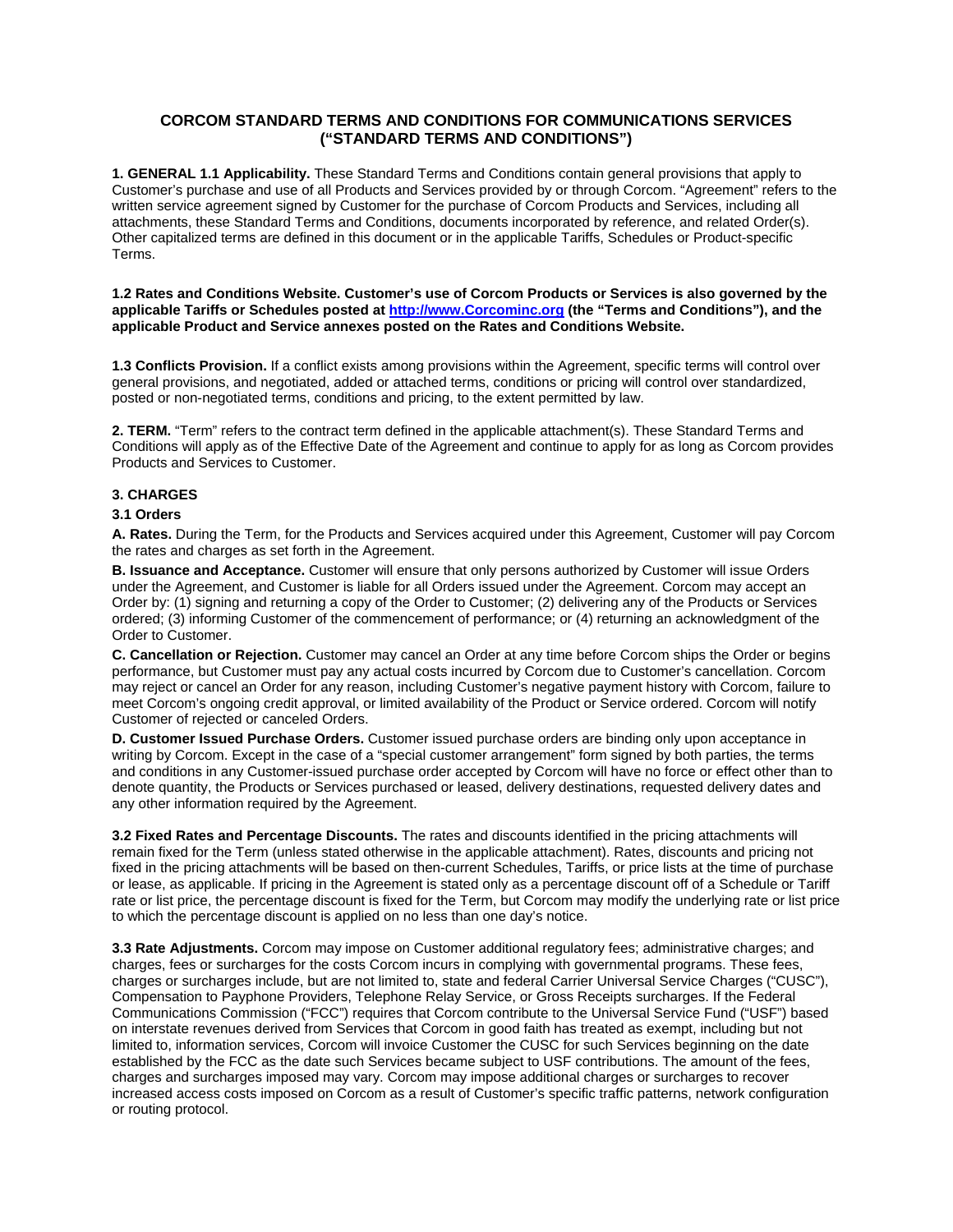# **CORCOM STANDARD TERMS AND CONDITIONS FOR COMMUNICATIONS SERVICES ("STANDARD TERMS AND CONDITIONS")**

**1. GENERAL 1.1 Applicability.** These Standard Terms and Conditions contain general provisions that apply to Customer's purchase and use of all Products and Services provided by or through Corcom. "Agreement" refers to the written service agreement signed by Customer for the purchase of Corcom Products and Services, including all attachments, these Standard Terms and Conditions, documents incorporated by reference, and related Order(s). Other capitalized terms are defined in this document or in the applicable Tariffs, Schedules or Product-specific Terms.

**1.2 Rates and Conditions Website. Customer's use of Corcom Products or Services is also governed by the applicable Tariffs or Schedules posted at http://www.Corcominc.org (the "Terms and Conditions"), and the applicable Product and Service annexes posted on the Rates and Conditions Website.** 

**1.3 Conflicts Provision.** If a conflict exists among provisions within the Agreement, specific terms will control over general provisions, and negotiated, added or attached terms, conditions or pricing will control over standardized, posted or non-negotiated terms, conditions and pricing, to the extent permitted by law.

**2. TERM.** "Term" refers to the contract term defined in the applicable attachment(s). These Standard Terms and Conditions will apply as of the Effective Date of the Agreement and continue to apply for as long as Corcom provides Products and Services to Customer.

## **3. CHARGES**

## **3.1 Orders**

**A. Rates.** During the Term, for the Products and Services acquired under this Agreement, Customer will pay Corcom the rates and charges as set forth in the Agreement.

**B. Issuance and Acceptance.** Customer will ensure that only persons authorized by Customer will issue Orders under the Agreement, and Customer is liable for all Orders issued under the Agreement. Corcom may accept an Order by: (1) signing and returning a copy of the Order to Customer; (2) delivering any of the Products or Services ordered; (3) informing Customer of the commencement of performance; or (4) returning an acknowledgment of the Order to Customer.

**C. Cancellation or Rejection.** Customer may cancel an Order at any time before Corcom ships the Order or begins performance, but Customer must pay any actual costs incurred by Corcom due to Customer's cancellation. Corcom may reject or cancel an Order for any reason, including Customer's negative payment history with Corcom, failure to meet Corcom's ongoing credit approval, or limited availability of the Product or Service ordered. Corcom will notify Customer of rejected or canceled Orders.

**D. Customer Issued Purchase Orders.** Customer issued purchase orders are binding only upon acceptance in writing by Corcom. Except in the case of a "special customer arrangement" form signed by both parties, the terms and conditions in any Customer-issued purchase order accepted by Corcom will have no force or effect other than to denote quantity, the Products or Services purchased or leased, delivery destinations, requested delivery dates and any other information required by the Agreement.

**3.2 Fixed Rates and Percentage Discounts.** The rates and discounts identified in the pricing attachments will remain fixed for the Term (unless stated otherwise in the applicable attachment). Rates, discounts and pricing not fixed in the pricing attachments will be based on then-current Schedules, Tariffs, or price lists at the time of purchase or lease, as applicable. If pricing in the Agreement is stated only as a percentage discount off of a Schedule or Tariff rate or list price, the percentage discount is fixed for the Term, but Corcom may modify the underlying rate or list price to which the percentage discount is applied on no less than one day's notice.

**3.3 Rate Adjustments.** Corcom may impose on Customer additional regulatory fees; administrative charges; and charges, fees or surcharges for the costs Corcom incurs in complying with governmental programs. These fees, charges or surcharges include, but are not limited to, state and federal Carrier Universal Service Charges ("CUSC"), Compensation to Payphone Providers, Telephone Relay Service, or Gross Receipts surcharges. If the Federal Communications Commission ("FCC") requires that Corcom contribute to the Universal Service Fund ("USF") based on interstate revenues derived from Services that Corcom in good faith has treated as exempt, including but not limited to, information services, Corcom will invoice Customer the CUSC for such Services beginning on the date established by the FCC as the date such Services became subject to USF contributions. The amount of the fees, charges and surcharges imposed may vary. Corcom may impose additional charges or surcharges to recover increased access costs imposed on Corcom as a result of Customer's specific traffic patterns, network configuration or routing protocol.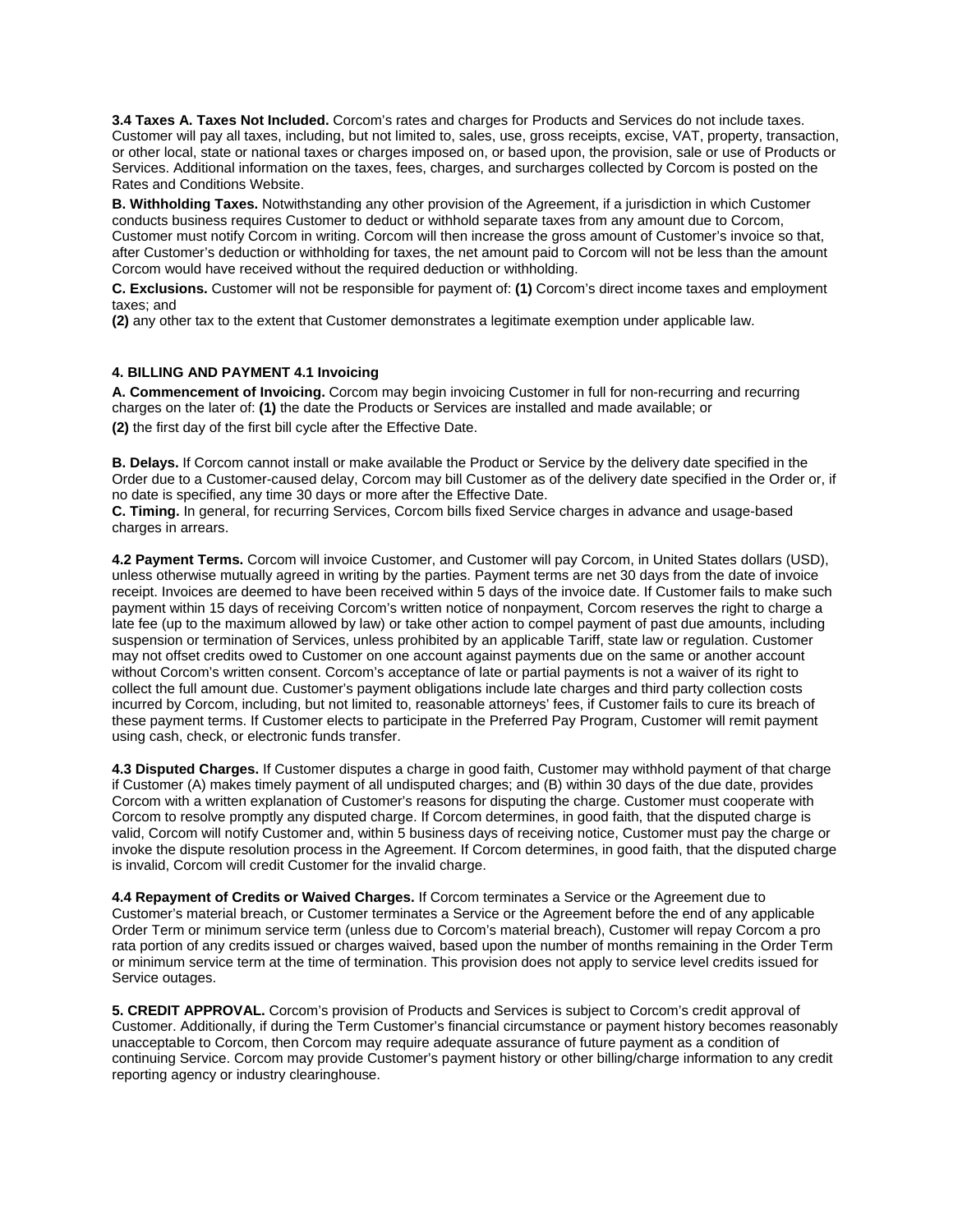**3.4 Taxes A. Taxes Not Included.** Corcom's rates and charges for Products and Services do not include taxes. Customer will pay all taxes, including, but not limited to, sales, use, gross receipts, excise, VAT, property, transaction, or other local, state or national taxes or charges imposed on, or based upon, the provision, sale or use of Products or Services. Additional information on the taxes, fees, charges, and surcharges collected by Corcom is posted on the Rates and Conditions Website.

**B. Withholding Taxes.** Notwithstanding any other provision of the Agreement, if a jurisdiction in which Customer conducts business requires Customer to deduct or withhold separate taxes from any amount due to Corcom, Customer must notify Corcom in writing. Corcom will then increase the gross amount of Customer's invoice so that, after Customer's deduction or withholding for taxes, the net amount paid to Corcom will not be less than the amount Corcom would have received without the required deduction or withholding.

**C. Exclusions.** Customer will not be responsible for payment of: **(1)** Corcom's direct income taxes and employment taxes; and

**(2)** any other tax to the extent that Customer demonstrates a legitimate exemption under applicable law.

## **4. BILLING AND PAYMENT 4.1 Invoicing**

**A. Commencement of Invoicing.** Corcom may begin invoicing Customer in full for non-recurring and recurring charges on the later of: **(1)** the date the Products or Services are installed and made available; or **(2)** the first day of the first bill cycle after the Effective Date.

**B. Delays.** If Corcom cannot install or make available the Product or Service by the delivery date specified in the Order due to a Customer-caused delay, Corcom may bill Customer as of the delivery date specified in the Order or, if no date is specified, any time 30 days or more after the Effective Date.

**C. Timing.** In general, for recurring Services, Corcom bills fixed Service charges in advance and usage-based charges in arrears.

**4.2 Payment Terms.** Corcom will invoice Customer, and Customer will pay Corcom, in United States dollars (USD), unless otherwise mutually agreed in writing by the parties. Payment terms are net 30 days from the date of invoice receipt. Invoices are deemed to have been received within 5 days of the invoice date. If Customer fails to make such payment within 15 days of receiving Corcom's written notice of nonpayment, Corcom reserves the right to charge a late fee (up to the maximum allowed by law) or take other action to compel payment of past due amounts, including suspension or termination of Services, unless prohibited by an applicable Tariff, state law or regulation. Customer may not offset credits owed to Customer on one account against payments due on the same or another account without Corcom's written consent. Corcom's acceptance of late or partial payments is not a waiver of its right to collect the full amount due. Customer's payment obligations include late charges and third party collection costs incurred by Corcom, including, but not limited to, reasonable attorneys' fees, if Customer fails to cure its breach of these payment terms. If Customer elects to participate in the Preferred Pay Program, Customer will remit payment using cash, check, or electronic funds transfer.

**4.3 Disputed Charges.** If Customer disputes a charge in good faith, Customer may withhold payment of that charge if Customer (A) makes timely payment of all undisputed charges; and (B) within 30 days of the due date, provides Corcom with a written explanation of Customer's reasons for disputing the charge. Customer must cooperate with Corcom to resolve promptly any disputed charge. If Corcom determines, in good faith, that the disputed charge is valid, Corcom will notify Customer and, within 5 business days of receiving notice, Customer must pay the charge or invoke the dispute resolution process in the Agreement. If Corcom determines, in good faith, that the disputed charge is invalid, Corcom will credit Customer for the invalid charge.

**4.4 Repayment of Credits or Waived Charges.** If Corcom terminates a Service or the Agreement due to Customer's material breach, or Customer terminates a Service or the Agreement before the end of any applicable Order Term or minimum service term (unless due to Corcom's material breach), Customer will repay Corcom a pro rata portion of any credits issued or charges waived, based upon the number of months remaining in the Order Term or minimum service term at the time of termination. This provision does not apply to service level credits issued for Service outages.

**5. CREDIT APPROVAL.** Corcom's provision of Products and Services is subject to Corcom's credit approval of Customer. Additionally, if during the Term Customer's financial circumstance or payment history becomes reasonably unacceptable to Corcom, then Corcom may require adequate assurance of future payment as a condition of continuing Service. Corcom may provide Customer's payment history or other billing/charge information to any credit reporting agency or industry clearinghouse.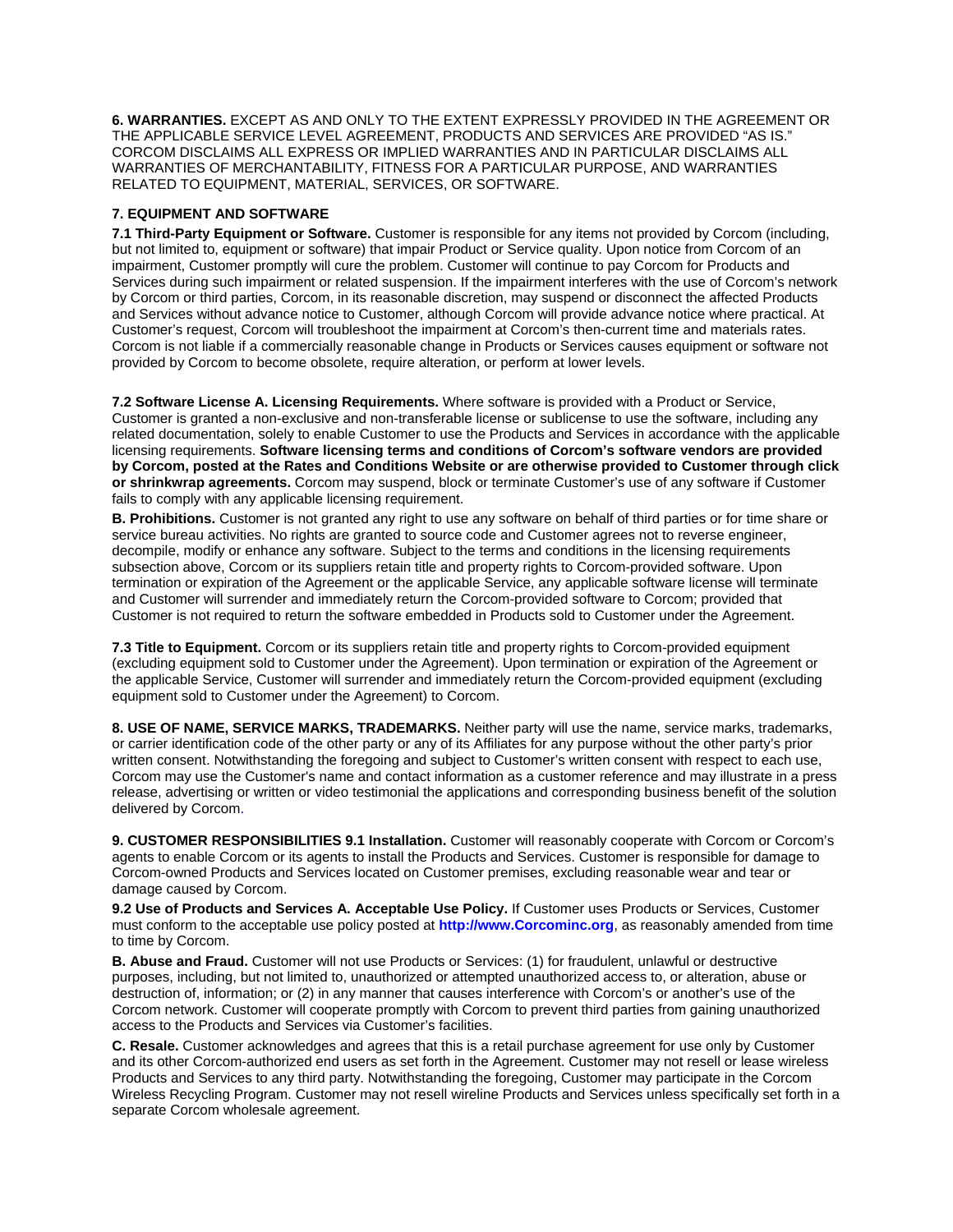**6. WARRANTIES.** EXCEPT AS AND ONLY TO THE EXTENT EXPRESSLY PROVIDED IN THE AGREEMENT OR THE APPLICABLE SERVICE LEVEL AGREEMENT, PRODUCTS AND SERVICES ARE PROVIDED "AS IS." CORCOM DISCLAIMS ALL EXPRESS OR IMPLIED WARRANTIES AND IN PARTICULAR DISCLAIMS ALL WARRANTIES OF MERCHANTABILITY, FITNESS FOR A PARTICULAR PURPOSE, AND WARRANTIES RELATED TO EQUIPMENT, MATERIAL, SERVICES, OR SOFTWARE.

## **7. EQUIPMENT AND SOFTWARE**

**7.1 Third-Party Equipment or Software.** Customer is responsible for any items not provided by Corcom (including, but not limited to, equipment or software) that impair Product or Service quality. Upon notice from Corcom of an impairment, Customer promptly will cure the problem. Customer will continue to pay Corcom for Products and Services during such impairment or related suspension. If the impairment interferes with the use of Corcom's network by Corcom or third parties, Corcom, in its reasonable discretion, may suspend or disconnect the affected Products and Services without advance notice to Customer, although Corcom will provide advance notice where practical. At Customer's request, Corcom will troubleshoot the impairment at Corcom's then-current time and materials rates. Corcom is not liable if a commercially reasonable change in Products or Services causes equipment or software not provided by Corcom to become obsolete, require alteration, or perform at lower levels.

**7.2 Software License A. Licensing Requirements.** Where software is provided with a Product or Service, Customer is granted a non-exclusive and non-transferable license or sublicense to use the software, including any related documentation, solely to enable Customer to use the Products and Services in accordance with the applicable licensing requirements. **Software licensing terms and conditions of Corcom's software vendors are provided by Corcom, posted at the Rates and Conditions Website or are otherwise provided to Customer through click or shrinkwrap agreements.** Corcom may suspend, block or terminate Customer's use of any software if Customer fails to comply with any applicable licensing requirement.

**B. Prohibitions.** Customer is not granted any right to use any software on behalf of third parties or for time share or service bureau activities. No rights are granted to source code and Customer agrees not to reverse engineer, decompile, modify or enhance any software. Subject to the terms and conditions in the licensing requirements subsection above, Corcom or its suppliers retain title and property rights to Corcom-provided software. Upon termination or expiration of the Agreement or the applicable Service, any applicable software license will terminate and Customer will surrender and immediately return the Corcom-provided software to Corcom; provided that Customer is not required to return the software embedded in Products sold to Customer under the Agreement.

**7.3 Title to Equipment.** Corcom or its suppliers retain title and property rights to Corcom-provided equipment (excluding equipment sold to Customer under the Agreement). Upon termination or expiration of the Agreement or the applicable Service, Customer will surrender and immediately return the Corcom-provided equipment (excluding equipment sold to Customer under the Agreement) to Corcom.

**8. USE OF NAME, SERVICE MARKS, TRADEMARKS.** Neither party will use the name, service marks, trademarks, or carrier identification code of the other party or any of its Affiliates for any purpose without the other party's prior written consent. Notwithstanding the foregoing and subject to Customer's written consent with respect to each use, Corcom may use the Customer's name and contact information as a customer reference and may illustrate in a press release, advertising or written or video testimonial the applications and corresponding business benefit of the solution delivered by Corcom.

**9. CUSTOMER RESPONSIBILITIES 9.1 Installation.** Customer will reasonably cooperate with Corcom or Corcom's agents to enable Corcom or its agents to install the Products and Services. Customer is responsible for damage to Corcom-owned Products and Services located on Customer premises, excluding reasonable wear and tear or damage caused by Corcom.

**9.2 Use of Products and Services A. Acceptable Use Policy.** If Customer uses Products or Services, Customer must conform to the acceptable use policy posted at **http://www.Corcominc.org**, as reasonably amended from time to time by Corcom.

**B. Abuse and Fraud.** Customer will not use Products or Services: (1) for fraudulent, unlawful or destructive purposes, including, but not limited to, unauthorized or attempted unauthorized access to, or alteration, abuse or destruction of, information; or (2) in any manner that causes interference with Corcom's or another's use of the Corcom network. Customer will cooperate promptly with Corcom to prevent third parties from gaining unauthorized access to the Products and Services via Customer's facilities.

**C. Resale.** Customer acknowledges and agrees that this is a retail purchase agreement for use only by Customer and its other Corcom-authorized end users as set forth in the Agreement. Customer may not resell or lease wireless Products and Services to any third party. Notwithstanding the foregoing, Customer may participate in the Corcom Wireless Recycling Program. Customer may not resell wireline Products and Services unless specifically set forth in a separate Corcom wholesale agreement.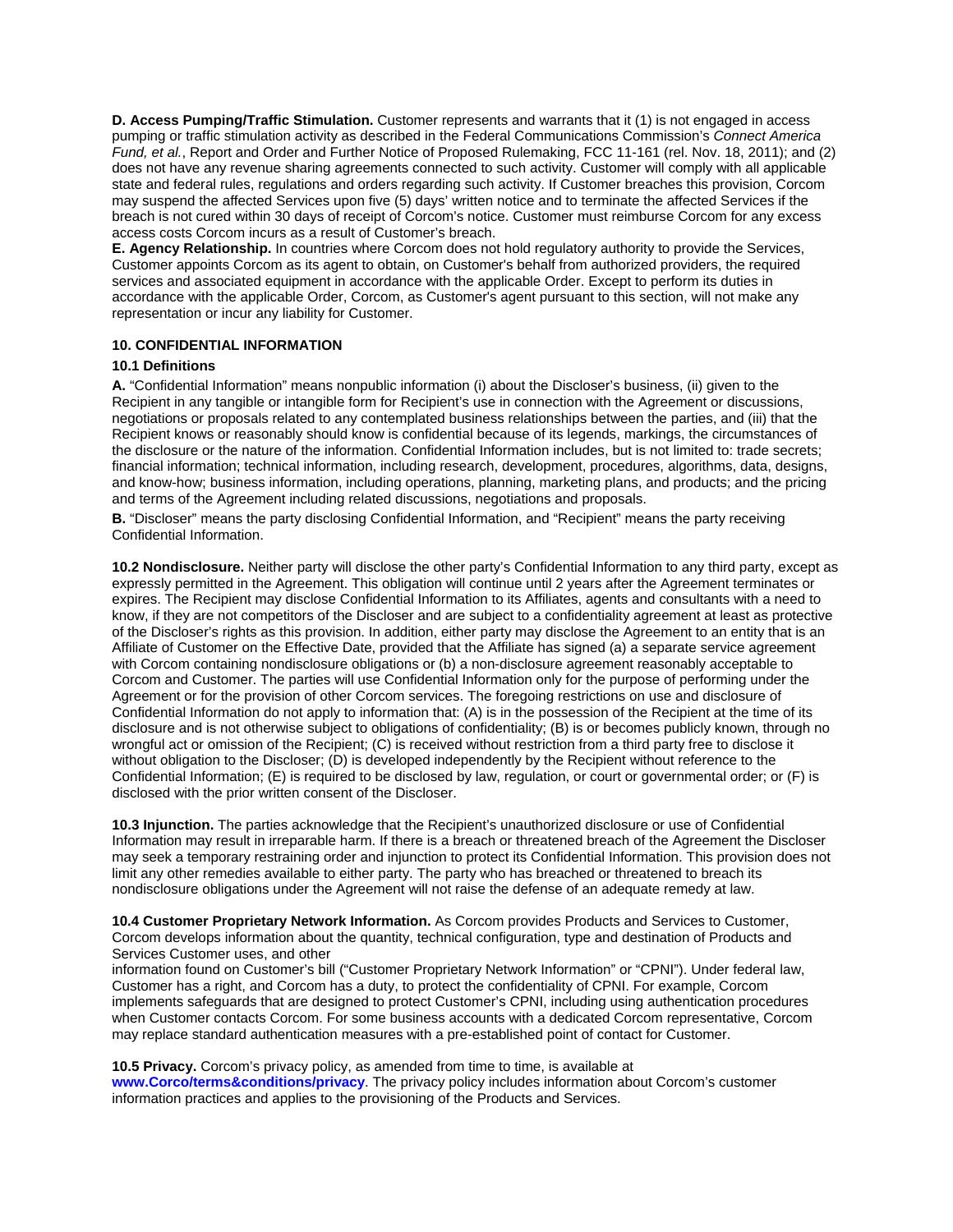**D. Access Pumping/Traffic Stimulation.** Customer represents and warrants that it (1) is not engaged in access pumping or traffic stimulation activity as described in the Federal Communications Commission's *Connect America Fund, et al.*, Report and Order and Further Notice of Proposed Rulemaking, FCC 11-161 (rel. Nov. 18, 2011); and (2) does not have any revenue sharing agreements connected to such activity. Customer will comply with all applicable state and federal rules, regulations and orders regarding such activity. If Customer breaches this provision, Corcom may suspend the affected Services upon five (5) days' written notice and to terminate the affected Services if the breach is not cured within 30 days of receipt of Corcom's notice. Customer must reimburse Corcom for any excess access costs Corcom incurs as a result of Customer's breach.

**E. Agency Relationship.** In countries where Corcom does not hold regulatory authority to provide the Services, Customer appoints Corcom as its agent to obtain, on Customer's behalf from authorized providers, the required services and associated equipment in accordance with the applicable Order. Except to perform its duties in accordance with the applicable Order, Corcom, as Customer's agent pursuant to this section, will not make any representation or incur any liability for Customer.

## **10. CONFIDENTIAL INFORMATION**

#### **10.1 Definitions**

**A.** "Confidential Information" means nonpublic information (i) about the Discloser's business, (ii) given to the Recipient in any tangible or intangible form for Recipient's use in connection with the Agreement or discussions, negotiations or proposals related to any contemplated business relationships between the parties, and (iii) that the Recipient knows or reasonably should know is confidential because of its legends, markings, the circumstances of the disclosure or the nature of the information. Confidential Information includes, but is not limited to: trade secrets; financial information; technical information, including research, development, procedures, algorithms, data, designs, and know-how; business information, including operations, planning, marketing plans, and products; and the pricing and terms of the Agreement including related discussions, negotiations and proposals.

**B.** "Discloser" means the party disclosing Confidential Information, and "Recipient" means the party receiving Confidential Information.

**10.2 Nondisclosure.** Neither party will disclose the other party's Confidential Information to any third party, except as expressly permitted in the Agreement. This obligation will continue until 2 years after the Agreement terminates or expires. The Recipient may disclose Confidential Information to its Affiliates, agents and consultants with a need to know, if they are not competitors of the Discloser and are subject to a confidentiality agreement at least as protective of the Discloser's rights as this provision. In addition, either party may disclose the Agreement to an entity that is an Affiliate of Customer on the Effective Date, provided that the Affiliate has signed (a) a separate service agreement with Corcom containing nondisclosure obligations or (b) a non-disclosure agreement reasonably acceptable to Corcom and Customer. The parties will use Confidential Information only for the purpose of performing under the Agreement or for the provision of other Corcom services. The foregoing restrictions on use and disclosure of Confidential Information do not apply to information that: (A) is in the possession of the Recipient at the time of its disclosure and is not otherwise subject to obligations of confidentiality; (B) is or becomes publicly known, through no wrongful act or omission of the Recipient; (C) is received without restriction from a third party free to disclose it without obligation to the Discloser; (D) is developed independently by the Recipient without reference to the Confidential Information; (E) is required to be disclosed by law, regulation, or court or governmental order; or (F) is disclosed with the prior written consent of the Discloser.

**10.3 Injunction.** The parties acknowledge that the Recipient's unauthorized disclosure or use of Confidential Information may result in irreparable harm. If there is a breach or threatened breach of the Agreement the Discloser may seek a temporary restraining order and injunction to protect its Confidential Information. This provision does not limit any other remedies available to either party. The party who has breached or threatened to breach its nondisclosure obligations under the Agreement will not raise the defense of an adequate remedy at law.

**10.4 Customer Proprietary Network Information.** As Corcom provides Products and Services to Customer, Corcom develops information about the quantity, technical configuration, type and destination of Products and Services Customer uses, and other

information found on Customer's bill ("Customer Proprietary Network Information" or "CPNI"). Under federal law, Customer has a right, and Corcom has a duty, to protect the confidentiality of CPNI. For example, Corcom implements safeguards that are designed to protect Customer's CPNI, including using authentication procedures when Customer contacts Corcom. For some business accounts with a dedicated Corcom representative, Corcom may replace standard authentication measures with a pre-established point of contact for Customer.

**10.5 Privacy.** Corcom's privacy policy, as amended from time to time, is available at **www.Corco/terms&conditions/privacy**. The privacy policy includes information about Corcom's customer information practices and applies to the provisioning of the Products and Services.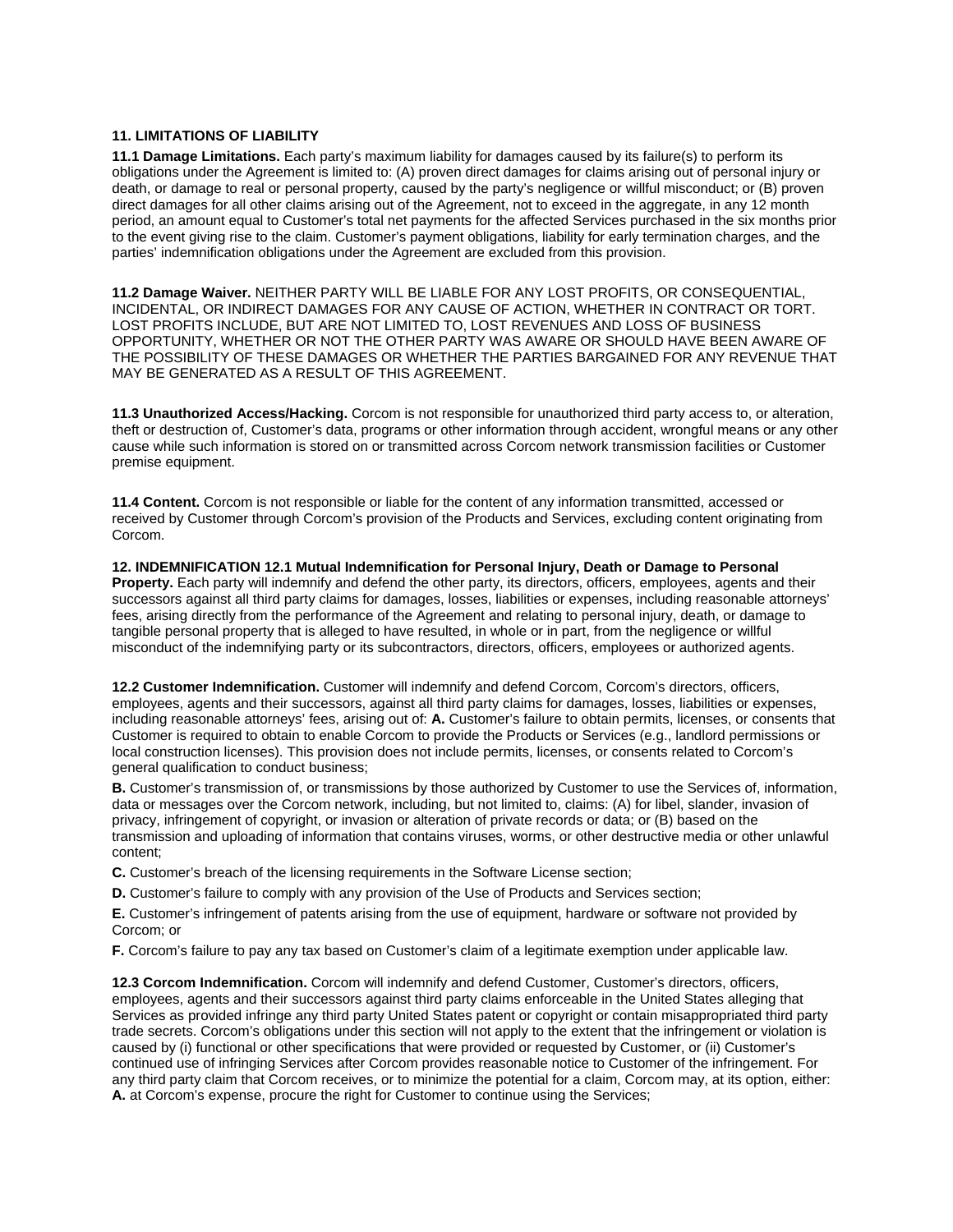## **11. LIMITATIONS OF LIABILITY**

**11.1 Damage Limitations.** Each party's maximum liability for damages caused by its failure(s) to perform its obligations under the Agreement is limited to: (A) proven direct damages for claims arising out of personal injury or death, or damage to real or personal property, caused by the party's negligence or willful misconduct; or (B) proven direct damages for all other claims arising out of the Agreement, not to exceed in the aggregate, in any 12 month period, an amount equal to Customer's total net payments for the affected Services purchased in the six months prior to the event giving rise to the claim. Customer's payment obligations, liability for early termination charges, and the parties' indemnification obligations under the Agreement are excluded from this provision.

**11.2 Damage Waiver.** NEITHER PARTY WILL BE LIABLE FOR ANY LOST PROFITS, OR CONSEQUENTIAL, INCIDENTAL, OR INDIRECT DAMAGES FOR ANY CAUSE OF ACTION, WHETHER IN CONTRACT OR TORT. LOST PROFITS INCLUDE, BUT ARE NOT LIMITED TO, LOST REVENUES AND LOSS OF BUSINESS OPPORTUNITY, WHETHER OR NOT THE OTHER PARTY WAS AWARE OR SHOULD HAVE BEEN AWARE OF THE POSSIBILITY OF THESE DAMAGES OR WHETHER THE PARTIES BARGAINED FOR ANY REVENUE THAT MAY BE GENERATED AS A RESULT OF THIS AGREEMENT.

**11.3 Unauthorized Access/Hacking.** Corcom is not responsible for unauthorized third party access to, or alteration, theft or destruction of, Customer's data, programs or other information through accident, wrongful means or any other cause while such information is stored on or transmitted across Corcom network transmission facilities or Customer premise equipment.

**11.4 Content.** Corcom is not responsible or liable for the content of any information transmitted, accessed or received by Customer through Corcom's provision of the Products and Services, excluding content originating from Corcom.

**12. INDEMNIFICATION 12.1 Mutual Indemnification for Personal Injury, Death or Damage to Personal Property.** Each party will indemnify and defend the other party, its directors, officers, employees, agents and their successors against all third party claims for damages, losses, liabilities or expenses, including reasonable attorneys' fees, arising directly from the performance of the Agreement and relating to personal injury, death, or damage to tangible personal property that is alleged to have resulted, in whole or in part, from the negligence or willful misconduct of the indemnifying party or its subcontractors, directors, officers, employees or authorized agents.

**12.2 Customer Indemnification.** Customer will indemnify and defend Corcom, Corcom's directors, officers, employees, agents and their successors, against all third party claims for damages, losses, liabilities or expenses, including reasonable attorneys' fees, arising out of: **A.** Customer's failure to obtain permits, licenses, or consents that Customer is required to obtain to enable Corcom to provide the Products or Services (e.g., landlord permissions or local construction licenses). This provision does not include permits, licenses, or consents related to Corcom's general qualification to conduct business;

**B.** Customer's transmission of, or transmissions by those authorized by Customer to use the Services of, information, data or messages over the Corcom network, including, but not limited to, claims: (A) for libel, slander, invasion of privacy, infringement of copyright, or invasion or alteration of private records or data; or (B) based on the transmission and uploading of information that contains viruses, worms, or other destructive media or other unlawful content;

**C.** Customer's breach of the licensing requirements in the Software License section;

**D.** Customer's failure to comply with any provision of the Use of Products and Services section;

**E.** Customer's infringement of patents arising from the use of equipment, hardware or software not provided by Corcom; or

**F.** Corcom's failure to pay any tax based on Customer's claim of a legitimate exemption under applicable law.

**12.3 Corcom Indemnification.** Corcom will indemnify and defend Customer, Customer's directors, officers, employees, agents and their successors against third party claims enforceable in the United States alleging that Services as provided infringe any third party United States patent or copyright or contain misappropriated third party trade secrets. Corcom's obligations under this section will not apply to the extent that the infringement or violation is caused by (i) functional or other specifications that were provided or requested by Customer, or (ii) Customer's continued use of infringing Services after Corcom provides reasonable notice to Customer of the infringement. For any third party claim that Corcom receives, or to minimize the potential for a claim, Corcom may, at its option, either: **A.** at Corcom's expense, procure the right for Customer to continue using the Services;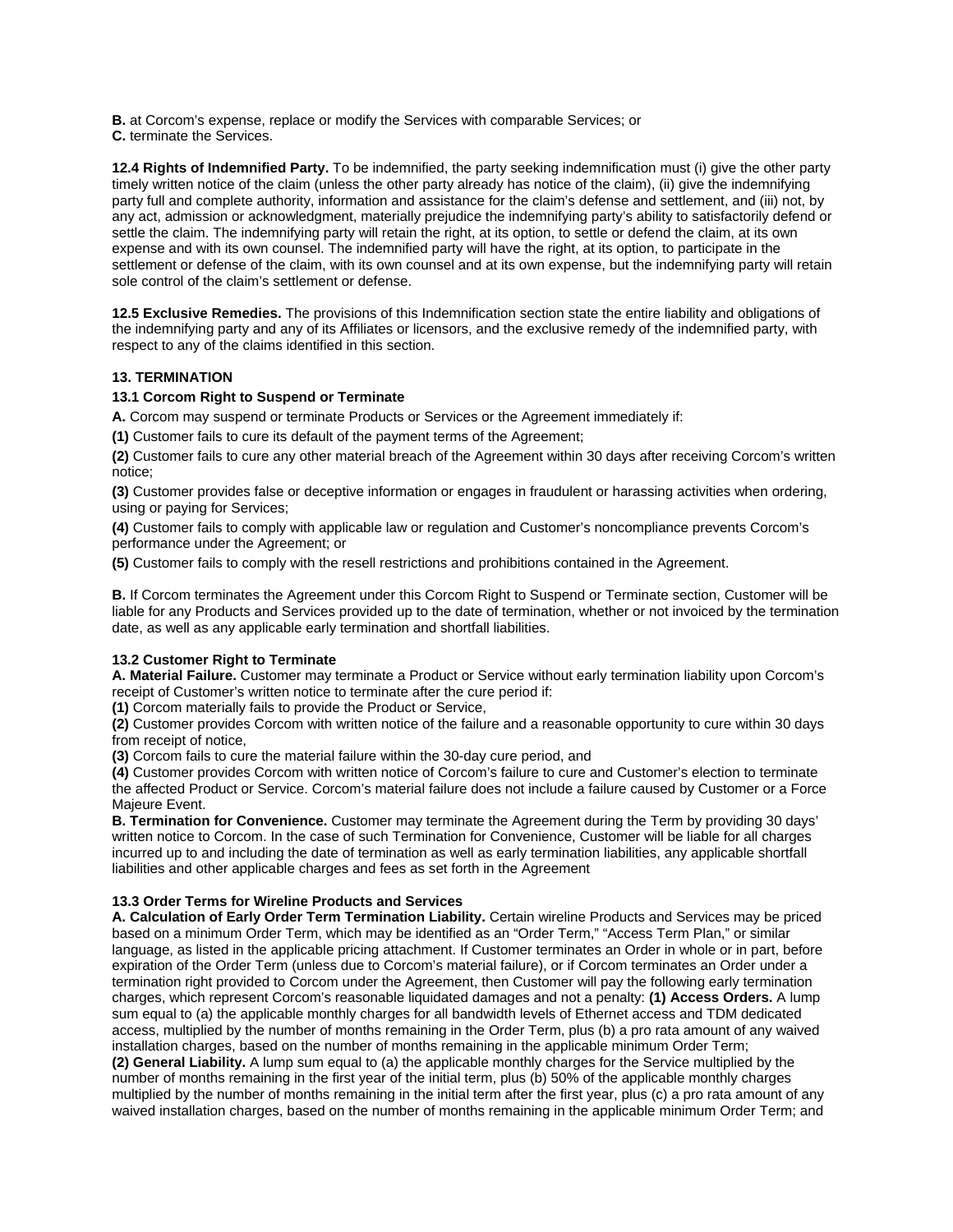**B.** at Corcom's expense, replace or modify the Services with comparable Services; or

**C.** terminate the Services.

**12.4 Rights of Indemnified Party.** To be indemnified, the party seeking indemnification must (i) give the other party timely written notice of the claim (unless the other party already has notice of the claim), (ii) give the indemnifying party full and complete authority, information and assistance for the claim's defense and settlement, and (iii) not, by any act, admission or acknowledgment, materially prejudice the indemnifying party's ability to satisfactorily defend or settle the claim. The indemnifying party will retain the right, at its option, to settle or defend the claim, at its own expense and with its own counsel. The indemnified party will have the right, at its option, to participate in the settlement or defense of the claim, with its own counsel and at its own expense, but the indemnifying party will retain sole control of the claim's settlement or defense.

**12.5 Exclusive Remedies.** The provisions of this Indemnification section state the entire liability and obligations of the indemnifying party and any of its Affiliates or licensors, and the exclusive remedy of the indemnified party, with respect to any of the claims identified in this section.

## **13. TERMINATION**

## **13.1 Corcom Right to Suspend or Terminate**

**A.** Corcom may suspend or terminate Products or Services or the Agreement immediately if:

**(1)** Customer fails to cure its default of the payment terms of the Agreement;

**(2)** Customer fails to cure any other material breach of the Agreement within 30 days after receiving Corcom's written notice;

**(3)** Customer provides false or deceptive information or engages in fraudulent or harassing activities when ordering, using or paying for Services;

**(4)** Customer fails to comply with applicable law or regulation and Customer's noncompliance prevents Corcom's performance under the Agreement; or

**(5)** Customer fails to comply with the resell restrictions and prohibitions contained in the Agreement.

**B.** If Corcom terminates the Agreement under this Corcom Right to Suspend or Terminate section, Customer will be liable for any Products and Services provided up to the date of termination, whether or not invoiced by the termination date, as well as any applicable early termination and shortfall liabilities.

## **13.2 Customer Right to Terminate**

**A. Material Failure.** Customer may terminate a Product or Service without early termination liability upon Corcom's receipt of Customer's written notice to terminate after the cure period if:

**(1)** Corcom materially fails to provide the Product or Service,

**(2)** Customer provides Corcom with written notice of the failure and a reasonable opportunity to cure within 30 days from receipt of notice,

**(3)** Corcom fails to cure the material failure within the 30-day cure period, and

**(4)** Customer provides Corcom with written notice of Corcom's failure to cure and Customer's election to terminate the affected Product or Service. Corcom's material failure does not include a failure caused by Customer or a Force Majeure Event.

**B. Termination for Convenience.** Customer may terminate the Agreement during the Term by providing 30 days' written notice to Corcom. In the case of such Termination for Convenience, Customer will be liable for all charges incurred up to and including the date of termination as well as early termination liabilities, any applicable shortfall liabilities and other applicable charges and fees as set forth in the Agreement

## **13.3 Order Terms for Wireline Products and Services**

**A. Calculation of Early Order Term Termination Liability.** Certain wireline Products and Services may be priced based on a minimum Order Term, which may be identified as an "Order Term," "Access Term Plan," or similar language, as listed in the applicable pricing attachment. If Customer terminates an Order in whole or in part, before expiration of the Order Term (unless due to Corcom's material failure), or if Corcom terminates an Order under a termination right provided to Corcom under the Agreement, then Customer will pay the following early termination charges, which represent Corcom's reasonable liquidated damages and not a penalty: **(1) Access Orders.** A lump sum equal to (a) the applicable monthly charges for all bandwidth levels of Ethernet access and TDM dedicated access, multiplied by the number of months remaining in the Order Term, plus (b) a pro rata amount of any waived installation charges, based on the number of months remaining in the applicable minimum Order Term;

**(2) General Liability.** A lump sum equal to (a) the applicable monthly charges for the Service multiplied by the number of months remaining in the first year of the initial term, plus (b) 50% of the applicable monthly charges multiplied by the number of months remaining in the initial term after the first year, plus (c) a pro rata amount of any waived installation charges, based on the number of months remaining in the applicable minimum Order Term; and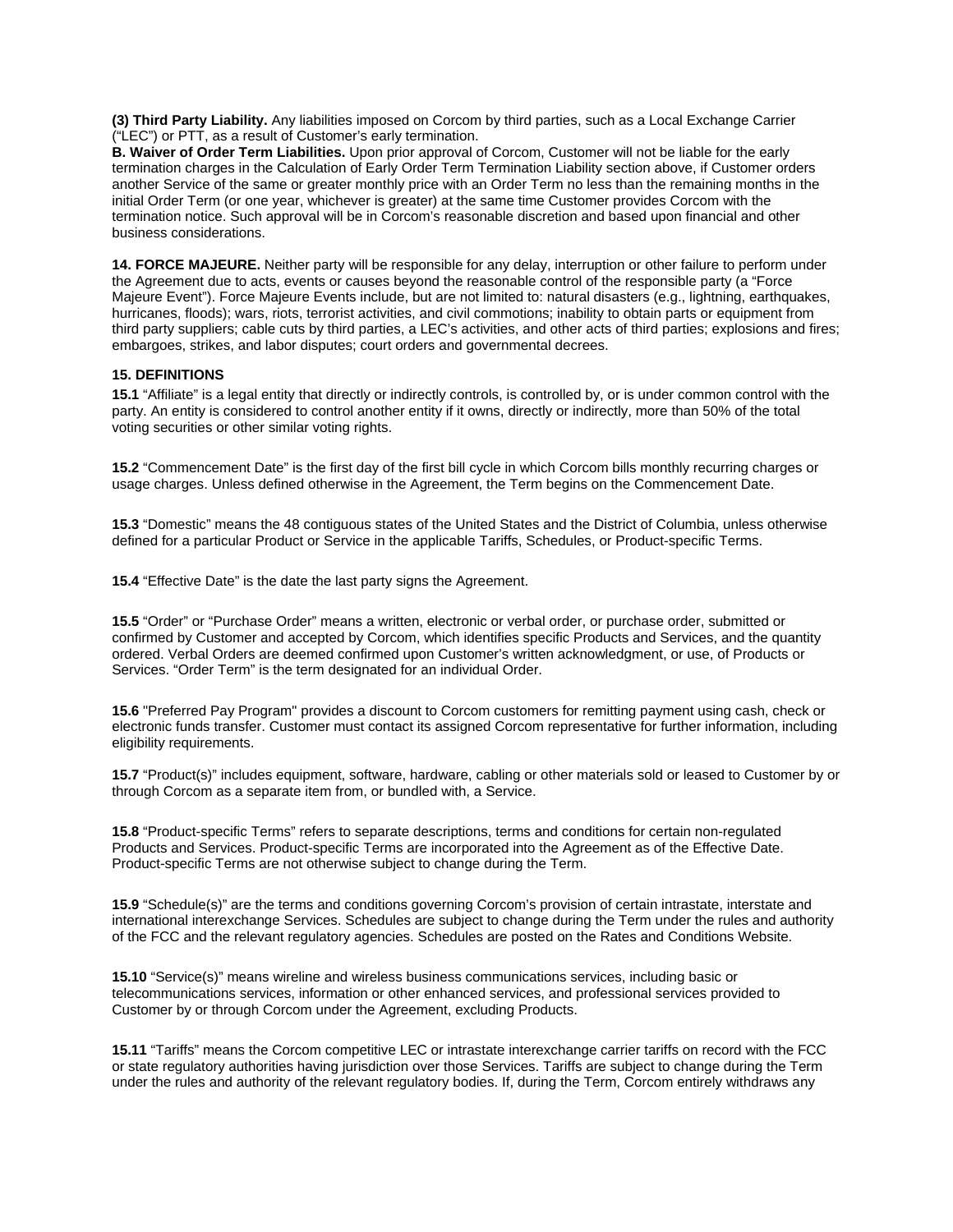**(3) Third Party Liability.** Any liabilities imposed on Corcom by third parties, such as a Local Exchange Carrier ("LEC") or PTT, as a result of Customer's early termination.

**B. Waiver of Order Term Liabilities.** Upon prior approval of Corcom, Customer will not be liable for the early termination charges in the Calculation of Early Order Term Termination Liability section above, if Customer orders another Service of the same or greater monthly price with an Order Term no less than the remaining months in the initial Order Term (or one year, whichever is greater) at the same time Customer provides Corcom with the termination notice. Such approval will be in Corcom's reasonable discretion and based upon financial and other business considerations.

**14. FORCE MAJEURE.** Neither party will be responsible for any delay, interruption or other failure to perform under the Agreement due to acts, events or causes beyond the reasonable control of the responsible party (a "Force Majeure Event"). Force Majeure Events include, but are not limited to: natural disasters (e.g., lightning, earthquakes, hurricanes, floods); wars, riots, terrorist activities, and civil commotions; inability to obtain parts or equipment from third party suppliers; cable cuts by third parties, a LEC's activities, and other acts of third parties; explosions and fires; embargoes, strikes, and labor disputes; court orders and governmental decrees.

## **15. DEFINITIONS**

**15.1** "Affiliate" is a legal entity that directly or indirectly controls, is controlled by, or is under common control with the party. An entity is considered to control another entity if it owns, directly or indirectly, more than 50% of the total voting securities or other similar voting rights.

**15.2** "Commencement Date" is the first day of the first bill cycle in which Corcom bills monthly recurring charges or usage charges. Unless defined otherwise in the Agreement, the Term begins on the Commencement Date.

**15.3** "Domestic" means the 48 contiguous states of the United States and the District of Columbia, unless otherwise defined for a particular Product or Service in the applicable Tariffs, Schedules, or Product-specific Terms.

**15.4** "Effective Date" is the date the last party signs the Agreement.

**15.5** "Order" or "Purchase Order" means a written, electronic or verbal order, or purchase order, submitted or confirmed by Customer and accepted by Corcom, which identifies specific Products and Services, and the quantity ordered. Verbal Orders are deemed confirmed upon Customer's written acknowledgment, or use, of Products or Services. "Order Term" is the term designated for an individual Order.

**15.6** "Preferred Pay Program" provides a discount to Corcom customers for remitting payment using cash, check or electronic funds transfer. Customer must contact its assigned Corcom representative for further information, including eligibility requirements.

**15.7** "Product(s)" includes equipment, software, hardware, cabling or other materials sold or leased to Customer by or through Corcom as a separate item from, or bundled with, a Service.

**15.8** "Product-specific Terms" refers to separate descriptions, terms and conditions for certain non-regulated Products and Services. Product-specific Terms are incorporated into the Agreement as of the Effective Date. Product-specific Terms are not otherwise subject to change during the Term.

**15.9** "Schedule(s)" are the terms and conditions governing Corcom's provision of certain intrastate, interstate and international interexchange Services. Schedules are subject to change during the Term under the rules and authority of the FCC and the relevant regulatory agencies. Schedules are posted on the Rates and Conditions Website.

**15.10** "Service(s)" means wireline and wireless business communications services, including basic or telecommunications services, information or other enhanced services, and professional services provided to Customer by or through Corcom under the Agreement, excluding Products.

**15.11** "Tariffs" means the Corcom competitive LEC or intrastate interexchange carrier tariffs on record with the FCC or state regulatory authorities having jurisdiction over those Services. Tariffs are subject to change during the Term under the rules and authority of the relevant regulatory bodies. If, during the Term, Corcom entirely withdraws any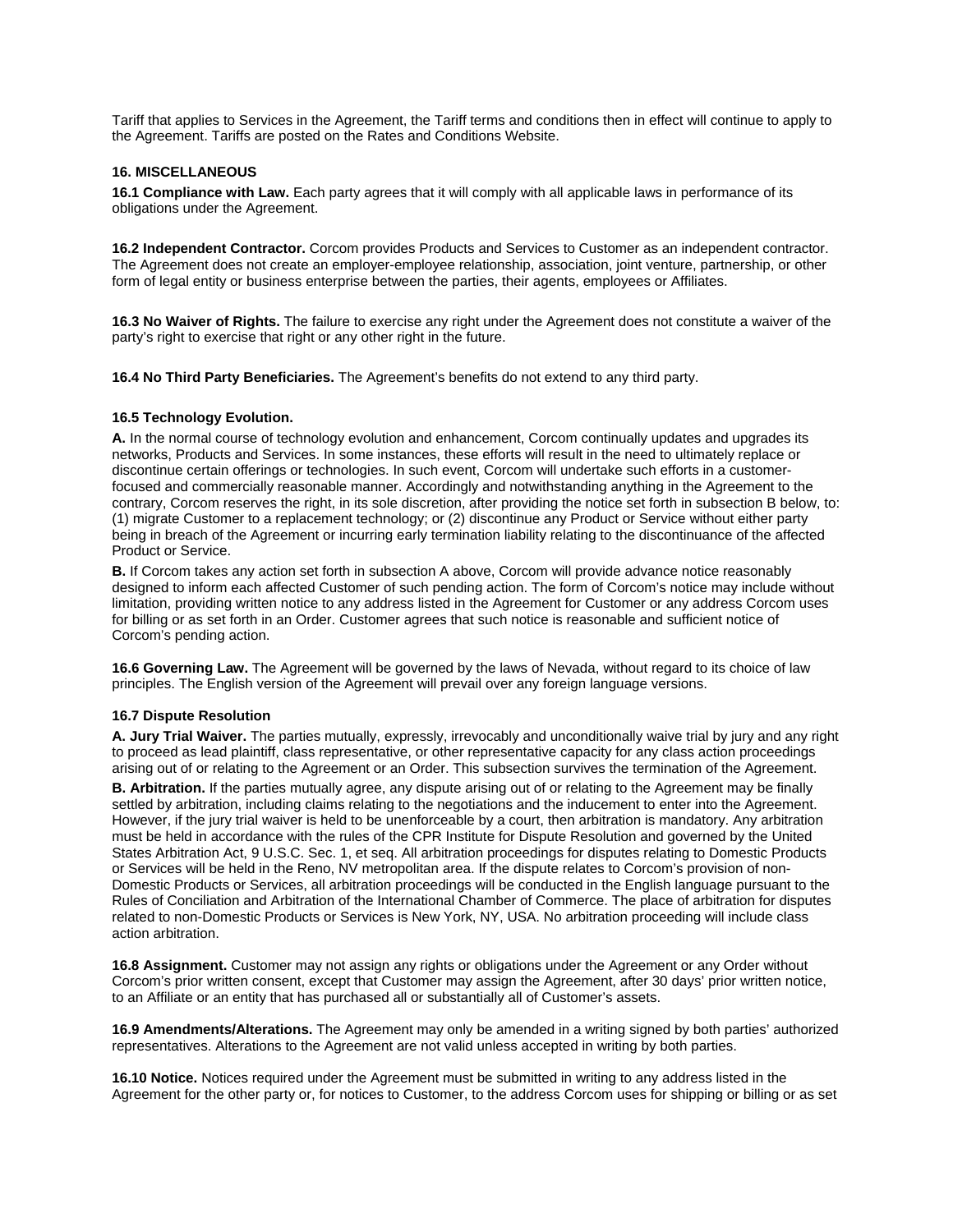Tariff that applies to Services in the Agreement, the Tariff terms and conditions then in effect will continue to apply to the Agreement. Tariffs are posted on the Rates and Conditions Website.

#### **16. MISCELLANEOUS**

**16.1 Compliance with Law.** Each party agrees that it will comply with all applicable laws in performance of its obligations under the Agreement.

**16.2 Independent Contractor.** Corcom provides Products and Services to Customer as an independent contractor. The Agreement does not create an employer-employee relationship, association, joint venture, partnership, or other form of legal entity or business enterprise between the parties, their agents, employees or Affiliates.

**16.3 No Waiver of Rights.** The failure to exercise any right under the Agreement does not constitute a waiver of the party's right to exercise that right or any other right in the future.

**16.4 No Third Party Beneficiaries.** The Agreement's benefits do not extend to any third party.

#### **16.5 Technology Evolution.**

**A.** In the normal course of technology evolution and enhancement, Corcom continually updates and upgrades its networks, Products and Services. In some instances, these efforts will result in the need to ultimately replace or discontinue certain offerings or technologies. In such event, Corcom will undertake such efforts in a customerfocused and commercially reasonable manner. Accordingly and notwithstanding anything in the Agreement to the contrary, Corcom reserves the right, in its sole discretion, after providing the notice set forth in subsection B below, to: (1) migrate Customer to a replacement technology; or (2) discontinue any Product or Service without either party being in breach of the Agreement or incurring early termination liability relating to the discontinuance of the affected Product or Service.

**B.** If Corcom takes any action set forth in subsection A above, Corcom will provide advance notice reasonably designed to inform each affected Customer of such pending action. The form of Corcom's notice may include without limitation, providing written notice to any address listed in the Agreement for Customer or any address Corcom uses for billing or as set forth in an Order. Customer agrees that such notice is reasonable and sufficient notice of Corcom's pending action.

**16.6 Governing Law.** The Agreement will be governed by the laws of Nevada, without regard to its choice of law principles. The English version of the Agreement will prevail over any foreign language versions.

#### **16.7 Dispute Resolution**

**A. Jury Trial Waiver.** The parties mutually, expressly, irrevocably and unconditionally waive trial by jury and any right to proceed as lead plaintiff, class representative, or other representative capacity for any class action proceedings arising out of or relating to the Agreement or an Order. This subsection survives the termination of the Agreement.

**B. Arbitration.** If the parties mutually agree, any dispute arising out of or relating to the Agreement may be finally settled by arbitration, including claims relating to the negotiations and the inducement to enter into the Agreement. However, if the jury trial waiver is held to be unenforceable by a court, then arbitration is mandatory. Any arbitration must be held in accordance with the rules of the CPR Institute for Dispute Resolution and governed by the United States Arbitration Act, 9 U.S.C. Sec. 1, et seq. All arbitration proceedings for disputes relating to Domestic Products or Services will be held in the Reno, NV metropolitan area. If the dispute relates to Corcom's provision of non-Domestic Products or Services, all arbitration proceedings will be conducted in the English language pursuant to the Rules of Conciliation and Arbitration of the International Chamber of Commerce. The place of arbitration for disputes related to non-Domestic Products or Services is New York, NY, USA. No arbitration proceeding will include class action arbitration.

**16.8 Assignment.** Customer may not assign any rights or obligations under the Agreement or any Order without Corcom's prior written consent, except that Customer may assign the Agreement, after 30 days' prior written notice, to an Affiliate or an entity that has purchased all or substantially all of Customer's assets.

**16.9 Amendments/Alterations.** The Agreement may only be amended in a writing signed by both parties' authorized representatives. Alterations to the Agreement are not valid unless accepted in writing by both parties.

**16.10 Notice.** Notices required under the Agreement must be submitted in writing to any address listed in the Agreement for the other party or, for notices to Customer, to the address Corcom uses for shipping or billing or as set